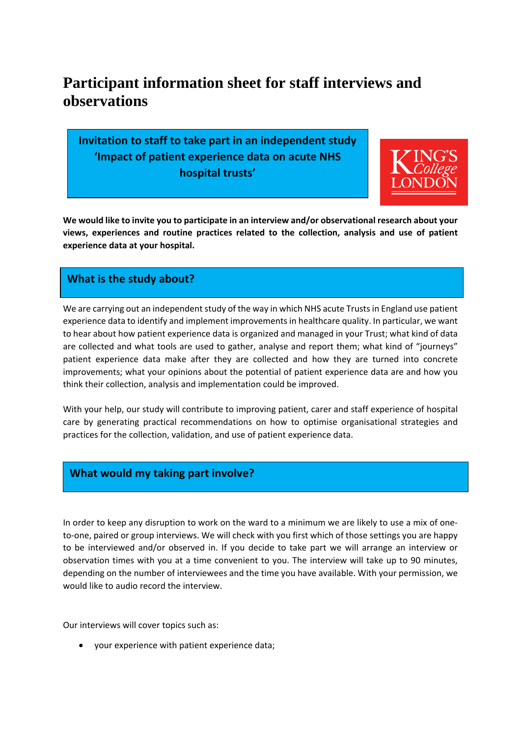# **Participant information sheet for staff interviews and observations**

**Invitation to staff to take part in an independent study 'Impact of patient experience data on acute NHS hospital trusts'** 



**We would like to invite you to participate in an interview and/or observational research about your views, experiences and routine practices related to the collection, analysis and use of patient experience data at your hospital.** 

## **What is the study about?**

We are carrying out an independent study of the way in which NHS acute Trusts in England use patient experience data to identify and implement improvements in healthcare quality. In particular, we want to hear about how patient experience data is organized and managed in your Trust; what kind of data are collected and what tools are used to gather, analyse and report them; what kind of "journeys" patient experience data make after they are collected and how they are turned into concrete improvements; what your opinions about the potential of patient experience data are and how you think their collection, analysis and implementation could be improved.

With your help, our study will contribute to improving patient, carer and staff experience of hospital care by generating practical recommendations on how to optimise organisational strategies and practices for the collection, validation, and use of patient experience data.

## **What would my taking part involve?**

In order to keep any disruption to work on the ward to a minimum we are likely to use a mix of oneto-one, paired or group interviews. We will check with you first which of those settings you are happy to be interviewed and/or observed in. If you decide to take part we will arrange an interview or observation times with you at a time convenient to you. The interview will take up to 90 minutes, depending on the number of interviewees and the time you have available. With your permission, we would like to audio record the interview.

Our interviews will cover topics such as:

• your experience with patient experience data;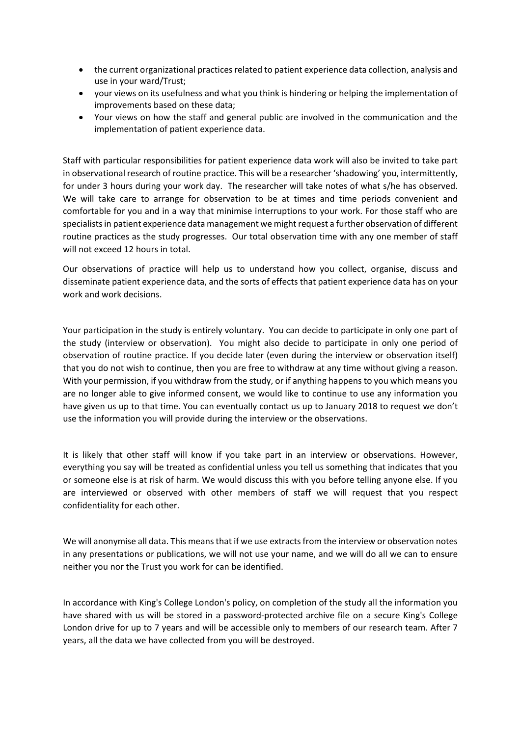- the current organizational practices related to patient experience data collection, analysis and use in your ward/Trust;
- your views on its usefulness and what you think is hindering or helping the implementation of improvements based on these data;
- Your views on how the staff and general public are involved in the communication and the implementation of patient experience data.

Staff with particular responsibilities for patient experience data work will also be invited to take part in observational research of routine practice. This will be a researcher 'shadowing' you, intermittently, for under 3 hours during your work day. The researcher will take notes of what s/he has observed. We will take care to arrange for observation to be at times and time periods convenient and comfortable for you and in a way that minimise interruptions to your work. For those staff who are specialists in patient experience data management we might request a further observation of different routine practices as the study progresses. Our total observation time with any one member of staff will not exceed 12 hours in total.

Our observations of practice will help us to understand how you collect, organise, discuss and disseminate patient experience data, and the sorts of effects that patient experience data has on your work and work decisions.

Your participation in the study is entirely voluntary. You can decide to participate in only one part of the study (interview or observation). You might also decide to participate in only one period of observation of routine practice. If you decide later (even during the interview or observation itself) that you do not wish to continue, then you are free to withdraw at any time without giving a reason. With your permission, if you withdraw from the study, or if anything happens to you which means you are no longer able to give informed consent, we would like to continue to use any information you have given us up to that time. You can eventually contact us up to January 2018 to request we don't use the information you will provide during the interview or the observations.

It is likely that other staff will know if you take part in an interview or observations. However, everything you say will be treated as confidential unless you tell us something that indicates that you or someone else is at risk of harm. We would discuss this with you before telling anyone else. If you are interviewed or observed with other members of staff we will request that you respect confidentiality for each other.

We will anonymise all data. This means that if we use extracts from the interview or observation notes in any presentations or publications, we will not use your name, and we will do all we can to ensure neither you nor the Trust you work for can be identified.

In accordance with King's College London's policy, on completion of the study all the information you have shared with us will be stored in a password-protected archive file on a secure King's College London drive for up to 7 years and will be accessible only to members of our research team. After 7 years, all the data we have collected from you will be destroyed.